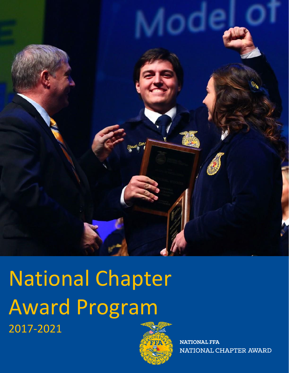

National Chapter Award Program 2017-2021



**NATIONAL FFA** NATIONAL CHAPTER AWARD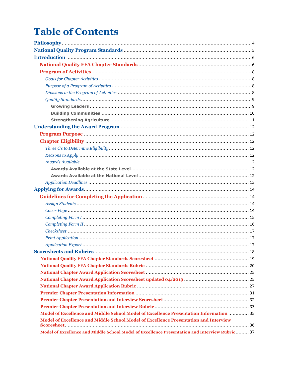# **Table of Contents**

| Model of Excellence and Middle School Model of Excellence Presentation Information  35          |
|-------------------------------------------------------------------------------------------------|
| Model of Excellence and Middle School Model of Excellence Presentation and Interview            |
| Model of Excellence and Middle School Model of Excellence Presentation and Interview Rubric  37 |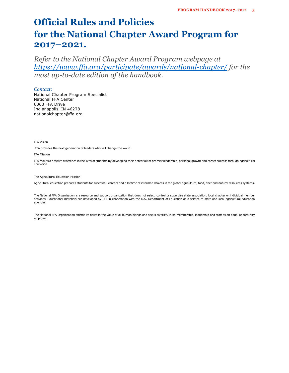## **Official Rules and Policies for the National Chapter Award Program for 2017–2021.**

*Refer to the National Chapter Award Program webpage at https://www.ffa.org/participate/awards/national-chapter/ for the most up-to-date edition of the handbook.* 

### *Contact:*

National Chapter Program Specialist National FFA Center 6060 FFA Drive Indianapolis, IN 46278 nationalchapter@ffa.org

FFA Vision

FFA provides the next generation of leaders who will change the world.

FFA Mission

FFA makes a positive difference in the lives of students by developing their potential for premier leadership, personal growth and career success through agricultural education.

The Agricultural Education Mission

Agricultural education prepares students for successful careers and a lifetime of informed choices in the global agriculture, food, fiber and natural resources systems.

The National FFA Organization is a resource and support organization that does not select, control or supervise state association, local chapter or individual member activities. Educational materials are developed by FFA in cooperation with the U.S. Department of Education as a service to state and local agricultural education agencies.

The National FFA Organization affirms its belief in the value of all human beings and seeks diversity in its membership, leadership and staff as an equal opportunity employer.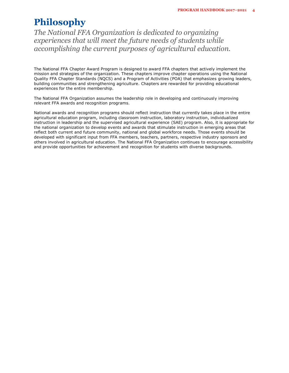## **Philosophy**

*The National FFA Organization is dedicated to organizing experiences that will meet the future needs of students while accomplishing the current purposes of agricultural education.* 

The National FFA Chapter Award Program is designed to award FFA chapters that actively implement the mission and strategies of the organization. These chapters improve chapter operations using the National Quality FFA Chapter Standards (NQCS) and a Program of Activities (POA) that emphasizes growing leaders, building communities and strengthening agriculture. Chapters are rewarded for providing educational experiences for the entire membership.

The National FFA Organization assumes the leadership role in developing and continuously improving relevant FFA awards and recognition programs.

National awards and recognition programs should reflect instruction that currently takes place in the entire agricultural education program, including classroom instruction, laboratory instruction, individualized instruction in leadership and the supervised agricultural experience (SAE) program. Also, it is appropriate for the national organization to develop events and awards that stimulate instruction in emerging areas that reflect both current and future community, national and global workforce needs. Those events should be developed with significant input from FFA members, teachers, partners, respective industry sponsors and others involved in agricultural education. The National FFA Organization continues to encourage accessibility and provide opportunities for achievement and recognition for students with diverse backgrounds.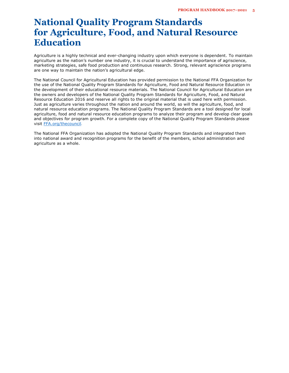## **National Quality Program Standards for Agriculture, Food, and Natural Resource Education**

Agriculture is a highly technical and ever-changing industry upon which everyone is dependent. To maintain agriculture as the nation's number one industry, it is crucial to understand the importance of agriscience, marketing strategies, safe food production and continuous research. Strong, relevant agriscience programs are one way to maintain the nation's agricultural edge.

The National Council for Agricultural Education has provided permission to the National FFA Organization for the use of the National Quality Program Standards for Agriculture, Food and Natural Resource Education in the development of their educational resource materials. The National Council for Agricultural Education are the owners and developers of the National Quality Program Standards for Agriculture, Food, and Natural Resource Education 2016 and reserve all rights to the original material that is used here with permission. Just as agriculture varies throughout the nation and around the world, so will the agriculture, food, and natural resource education programs. The National Quality Program Standards are a tool designed for local agriculture, food and natural resource education programs to analyze their program and develop clear goals and objectives for program growth. For a complete copy of the National Quality Program Standards please visit [FFA.org/thecouncil](http://www.ffa.org/thecouncil)*.* 

The National FFA Organization has adopted the National Quality Program Standards and integrated them into national award and recognition programs for the benefit of the members, school administration and agriculture as a whole.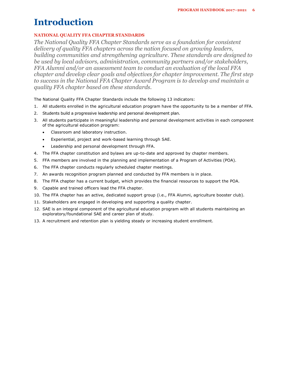## **Introduction**

## **NATIONAL QUALITY FFA CHAPTER STANDARDS**

*The National Quality FFA Chapter Standards serve as a foundation for consistent delivery of quality FFA chapters across the nation focused on growing leaders, building communities and strengthening agriculture. These standards are designed to be used by local advisors, administration, community partners and/or stakeholders, FFA Alumni and/or an assessment team to conduct an evaluation of the local FFA chapter and develop clear goals and objectives for chapter improvement. The first step to success in the National FFA Chapter Award Program is to develop and maintain a quality FFA chapter based on these standards.* 

The National Quality FFA Chapter Standards include the following 13 indicators:

- 1. All students enrolled in the agricultural education program have the opportunity to be a member of FFA.
- 2. Students build a progressive leadership and personal development plan.
- 3. All students participate in meaningful leadership and personal development activities in each component of the agricultural education program:
	- Classroom and laboratory instruction.
	- Experiential, project and work-based learning through SAE.
	- Leadership and personal development through FFA.
- 4. The FFA chapter constitution and bylaws are up-to-date and approved by chapter members.
- 5. FFA members are involved in the planning and implementation of a Program of Activities (POA).
- 6. The FFA chapter conducts regularly scheduled chapter meetings.
- 7. An awards recognition program planned and conducted by FFA members is in place.
- 8. The FFA chapter has a current budget, which provides the financial resources to support the POA.
- 9. Capable and trained officers lead the FFA chapter.
- 10. The FFA chapter has an active, dedicated support group (i.e., FFA Alumni, agriculture booster club).
- 11. Stakeholders are engaged in developing and supporting a quality chapter.
- 12. SAE is an integral component of the agricultural education program with all students maintaining an exploratory/foundational SAE and career plan of study.
- 13. A recruitment and retention plan is yielding steady or increasing student enrollment.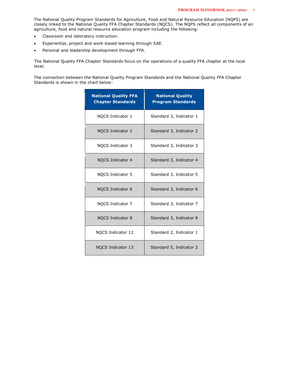The National Quality Program Standards for Agriculture, Food and Natural Resource Education (NQPS) are closely linked to the National Quality FFA Chapter Standards (NQCS). The NQPS reflect all components of an agriculture, food and natural resource education program including the following:

- Classroom and laboratory instruction.
- Experiential, project and work-based learning through SAE.
- Personal and leadership development through FFA.

The National Quality FFA Chapter Standards focus on the operations of a quality FFA chapter at the local level.

The connection between the National Quality Program Standards and the National Quality FFA Chapter Standards is shown in the chart below:

| <b>National Quality FFA</b><br><b>Chapter Standards</b> | <b>National Quality</b><br><b>Program Standards</b> |
|---------------------------------------------------------|-----------------------------------------------------|
| NOCS Indicator 1                                        | Standard 3, Indicator 1                             |
| <b>NOCS Indicator 2</b>                                 | Standard 3, Indicator 2                             |
| NQCS Indicator 3                                        | Standard 3, Indicator 3                             |
| NOCS Indicator 4                                        | Standard 3, Indicator 4                             |
| NQCS Indicator 5                                        | Standard 3, Indicator 5                             |
| NOCS Indicator 6                                        | Standard 3, Indicator 6                             |
| NOCS Indicator 7                                        | Standard 3, Indicator 7                             |
| NQCS Indicator 8                                        | Standard 3, Indicator 8                             |
| NQCS Indicator 12                                       | Standard 2, Indicator 1                             |
| <b>NQCS Indicator 13</b>                                | Standard 5, Indicator 2                             |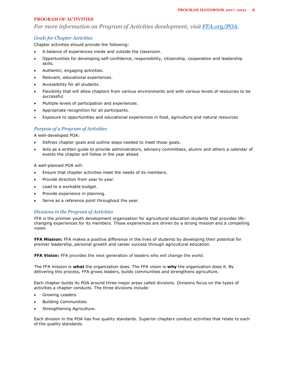### **PROGRAM OF ACTIVITIES**

*For more information on Program of Activities development, visit [FFA.org/POA.](http://www.ffa.org/POA)* 

### *Goals for Chapter Activities*

Chapter activities should provide the following:

- A balance of experiences inside and outside the classroom.
- Opportunities for developing self-confidence, responsibility, citizenship, cooperation and leadership skills.
- Authentic, engaging activities.
- Relevant, educational experiences.
- Accessibility for all students.
- Flexibility that will allow chapters from various environments and with various levels of resources to be successful.
- Multiple levels of participation and experiences.
- Appropriate recognition for all participants.
- Exposure to opportunities and educational experiences in food, agriculture and natural resources.

## *Purpose of a Program of Activities*

A well-developed POA:

- Defines chapter goals and outline steps needed to meet those goals.
- Acts as a written guide to provide administrators, advisory committees, alumni and others a calendar of events the chapter will follow in the year ahead.

A well-planned POA will:

- Ensure that chapter activities meet the needs of its members.
- Provide direction from year to year.
- Lead to a workable budget.
- Provide experience in planning.
- Serve as a reference point throughout the year.

### *Divisions in the Program of Activities*

FFA is the premier youth development organization for agricultural education students that provides lifechanging experiences for its members. Those experiences are driven by a strong mission and a compelling vision.

**FFA Mission:** FFA makes a positive difference in the lives of students by developing their potential for premier leadership, personal growth and career success through agricultural education.

**FFA Vision:** FFA provides the next generation of leaders who will change the world.

The FFA mission is **what** the organization does. The FFA vision is **why** the organization does it. By delivering this process, FFA grows leaders, builds communities and strengthens agriculture.

Each chapter builds its POA around three major areas called divisions. Divisions focus on the types of activities a chapter conducts. The three divisions include:

- Growing Leaders.
- Building Communities.
- Strengthening Agriculture.

Each division in the POA has five quality standards. Superior chapters conduct activities that relate to each of the quality standards.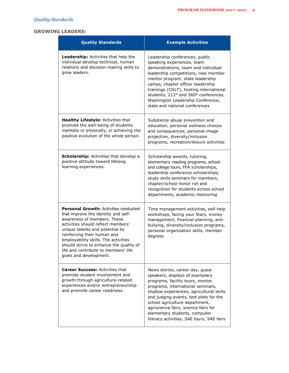## **GROWING LEADERS:**

| <b>Quality Standards</b>                                                                                                                                                                                                                                                                                                                                                        | <b>Example Activities</b>                                                                                                                                                                                                                                                                                                                                                                |
|---------------------------------------------------------------------------------------------------------------------------------------------------------------------------------------------------------------------------------------------------------------------------------------------------------------------------------------------------------------------------------|------------------------------------------------------------------------------------------------------------------------------------------------------------------------------------------------------------------------------------------------------------------------------------------------------------------------------------------------------------------------------------------|
| <b>Leadership:</b> Activities that help the<br>individual develop technical, human<br>relations and decision-making skills to<br>grow leaders.                                                                                                                                                                                                                                  | Leadership conferences, public<br>speaking experiences, team<br>demonstrations, team and individual<br>leadership competitions, new member<br>mentor program, state leadership<br>camps, chapter officer leadership<br>trainings (COLT), hosting international<br>students, 212° and 360° conferences,<br>Washington Leadership Conference,<br>state and national conferences            |
| Healthy Lifestyle: Activities that<br>promote the well-being of students<br>mentally or physically, in achieving the<br>positive evolution of the whole person.                                                                                                                                                                                                                 | Substance abuse prevention and<br>education, personal wellness choices<br>and consequences, personal image<br>projection, diversity/inclusion<br>programs, recreation/leisure activities                                                                                                                                                                                                 |
| <b>Scholarship:</b> Activities that develop a<br>positive attitude toward lifelong<br>learning experiences.                                                                                                                                                                                                                                                                     | Scholarship awards, tutoring,<br>elementary reading programs, school<br>and college tours, FFA scholarships,<br>leadership conference scholarships,<br>study skills seminars for members,<br>chapter/school honor roll and<br>recognition for students across school<br>departments, academic mentoring                                                                                  |
| <b>Personal Growth: Activities conducted</b><br>that improve the identity and self-<br>awareness of members. These<br>activities should reflect members'<br>unique talents and potential by<br>reinforcing their human and<br>employability skills. The activities<br>should strive to enhance the quality of<br>life and contribute to members' life<br>goals and development. | Time management activities, self-help<br>workshops, facing your fears, money<br>management, financial planning, anti-<br>bullying, diversity/inclusion programs,<br>personal organization skills, member<br>degrees                                                                                                                                                                      |
| <b>Career Success: Activities that</b><br>promote student involvement and<br>growth through agriculture-related<br>experiences and/or entrepreneurship<br>and promote career readiness.                                                                                                                                                                                         | News stories, career day, guest<br>speakers, displays of exemplary<br>programs, facility tours, mentor<br>programs, international seminars,<br>shadow experiences, agricultural skills<br>and judging events, test plots for the<br>school agriculture department,<br>agriscience fairs, science fairs for<br>elementary students, computer<br>literacy activities, SAE tours, SAE fairs |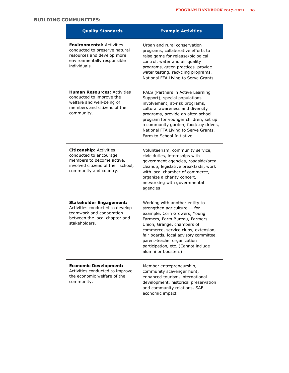## **BUILDING COMMUNITIES:**

| <b>Quality Standards</b>                                                                                                                              | <b>Example Activities</b>                                                                                                                                                                                                                                                                                                                    |
|-------------------------------------------------------------------------------------------------------------------------------------------------------|----------------------------------------------------------------------------------------------------------------------------------------------------------------------------------------------------------------------------------------------------------------------------------------------------------------------------------------------|
| <b>Environmental: Activities</b><br>conducted to preserve natural<br>resources and develop more<br>environmentally responsible<br>individuals.        | Urban and rural conservation<br>programs, collaborative efforts to<br>raise game for release/biological<br>control, water and air quality<br>programs, green practices, provide<br>water testing, recycling programs,<br>National FFA Living to Serve Grants                                                                                 |
| <b>Human Resources: Activities</b><br>conducted to improve the<br>welfare and well-being of<br>members and citizens of the<br>community.              | PALS (Partners in Active Learning<br>Support), special populations<br>involvement, at-risk programs,<br>cultural awareness and diversity<br>programs, provide an after-school<br>program for younger children, set up<br>a community garden, food/toy drives,<br>National FFA Living to Serve Grants,<br>Farm to School Initiative           |
| <b>Citizenship: Activities</b><br>conducted to encourage<br>members to become active,<br>involved citizens of their school,<br>community and country. | Volunteerism, community service,<br>civic duties, internships with<br>government agencies, roadside/area<br>cleanup, legislative breakfasts, work<br>with local chamber of commerce,<br>organize a charity concert,<br>networking with governmental<br>agencies                                                                              |
| <b>Stakeholder Engagement:</b><br>Activities conducted to develop<br>teamwork and cooperation<br>between the local chapter and<br>stakeholders.       | Working with another entity to<br>strengthen agriculture $-$ for<br>example, Corn Growers, Young<br>Farmers, Farm Bureau, Farmers<br>Union, Grange, chambers of<br>commerce, service clubs, extension,<br>fair boards, local advisory committee<br>parent-teacher organization<br>participation, etc. (Cannot include<br>alumni or boosters) |
| <b>Economic Development:</b><br>Activities conducted to improve<br>the economic welfare of the<br>community.                                          | Member entrepreneurship,<br>community scavenger hunt,<br>enhanced tourism, international<br>development, historical preservation<br>and community relations, SAE<br>economic impact                                                                                                                                                          |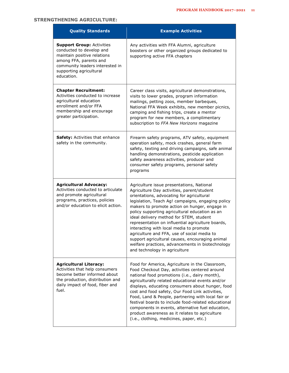## **STRENGTHENING AGRICULTURE:**

| <b>Quality Standards</b>                                                                                                                                                                          | <b>Example Activities</b>                                                                                                                                                                                                                                                                                                                                                                                                                                                                                                                                                                                                      |
|---------------------------------------------------------------------------------------------------------------------------------------------------------------------------------------------------|--------------------------------------------------------------------------------------------------------------------------------------------------------------------------------------------------------------------------------------------------------------------------------------------------------------------------------------------------------------------------------------------------------------------------------------------------------------------------------------------------------------------------------------------------------------------------------------------------------------------------------|
| <b>Support Group: Activities</b><br>conducted to develop and<br>maintain positive relations<br>among FFA, parents and<br>community leaders interested in<br>supporting agricultural<br>education. | Any activities with FFA Alumni, agriculture<br>boosters or other organized groups dedicated to<br>supporting active FFA chapters                                                                                                                                                                                                                                                                                                                                                                                                                                                                                               |
| <b>Chapter Recruitment:</b><br>Activities conducted to increase<br>agricultural education<br>enrollment and/or FFA<br>membership and encourage<br>greater participation.                          | Career class visits, agricultural demonstrations,<br>visits to lower grades, program information<br>mailings, petting zoos, member barbeques,<br>National FFA Week exhibits, new member picnics,<br>camping and fishing trips, create a mentor<br>program for new members, a complimentary<br>subscription to FFA New Horizons magazine                                                                                                                                                                                                                                                                                        |
| <b>Safety:</b> Activities that enhance<br>safety in the community.                                                                                                                                | Firearm safety programs, ATV safety, equipment<br>operation safety, mock crashes, general farm<br>safety, texting and driving campaigns, safe animal<br>handling demonstrations, pesticide application<br>safety awareness activities, producer and<br>consumer safety programs, personal safety<br>programs                                                                                                                                                                                                                                                                                                                   |
| <b>Agricultural Advocacy:</b><br>Activities conducted to articulate<br>and promote agricultural<br>programs, practices, policies<br>and/or education to elicit action.                            | Agriculture issue presentations, National<br>Agriculture Day activities, parent/student<br>orientations, advocating for agricultural<br>legislation, Teach Ag! campaigns, engaging policy<br>makers to promote action on hunger, engage in<br>policy supporting agricultural education as an<br>ideal delivery method for STEM, student<br>representation on influential agriculture boards,<br>interacting with local media to promote<br>agriculture and FFA, use of social media to<br>support agricultural causes, encouraging animal<br>welfare practices, advancements in biotechnology<br>and technology in agriculture |
| <b>Agricultural Literacy:</b><br>Activities that help consumers<br>become better informed about<br>the production, distribution and<br>daily impact of food, fiber and<br>fuel.                   | Food for America, Agriculture in the Classroom,<br>Food Checkout Day, activities centered around<br>national food promotions (i.e., dairy month),<br>agriculturally related educational events and/or<br>displays, educating consumers about hunger, food<br>cost and food safety, Our Food Link activities,<br>Food, Land & People, partnering with local fair or<br>festival boards to include food-related educational<br>components in events, alternative fuel education,<br>product awareness as it relates to agriculture<br>(i.e., clothing, medicines, paper, etc.)                                                   |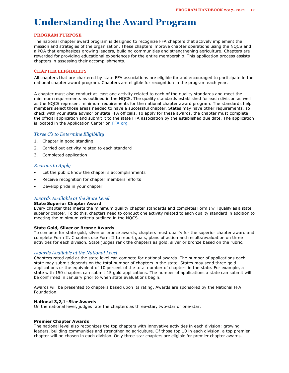## **Understanding the Award Program**

### **PROGRAM PURPOSE**

The national chapter award program is designed to recognize FFA chapters that actively implement the mission and strategies of the organization. These chapters improve chapter operations using the NQCS and a POA that emphasizes growing leaders, building communities and strengthening agriculture. Chapters are rewarded for providing educational experiences for the entire membership. This application process assists chapters in assessing their accomplishments.

#### **CHAPTER ELIGIBILITY**

All chapters that are chartered by state FFA associations are eligible for and encouraged to participate in the national chapter award program. Chapters are eligible for recognition in the program each year.

A chapter must also conduct at least one activity related to each of the quality standards and meet the minimum requirements as outlined in the NQCS. The quality standards established for each division as well as the NQCS represent minimum requirements for the national chapter award program. The standards help members select those areas needed to have a successful chapter. States may have other requirements, so check with your state advisor or state FFA officials. To apply for these awards, the chapter must complete the official application and submit it to the state FFA association by the established due date. The application is located in the Application Center on [FFA.org](http://www.ffa.org/)*.*

### *Three C's to Determine Eligibility*

- 1. Chapter in good standing
- 2. Carried out activity related to each standard
- 3. Completed application

#### *Reasons to Apply*

- Let the public know the chapter's accomplishments
- Receive recognition for chapter members' efforts
- Develop pride in your chapter

### *Awards Available at the State Level*

#### **State Superior Chapter Award**

Every chapter that meets the minimum quality chapter standards and completes Form I will qualify as a state superior chapter. To do this, chapters need to conduct one activity related to each quality standard in addition to meeting the minimum criteria outlined in the NQCS.

#### **State Gold, Silver or Bronze Awards**

To compete for state gold, silver or bronze awards, chapters must qualify for the superior chapter award and complete Form II. Chapters use Form II to report goals, plans of action and results/evaluation on three activities for each division. State judges rank the chapters as gold, silver or bronze based on the rubric.

#### *Awards Available at the National Level*

Chapters rated gold at the state level can compete for national awards. The number of applications each state may submit depends on the total number of chapters in the state. States may send three gold applications or the equivalent of 10 percent of the total number of chapters in the state. For example, a state with 150 chapters can submit 15 gold applications. The number of applications a state can submit will be confirmed in January prior to when state evaluations begin.

Awards will be presented to chapters based upon its rating. Awards are sponsored by the National FFA Foundation.

#### **National 3,2,1–Star Awards**

On the national level, judges rate the chapters as three-star, two-star or one-star.

#### **Premier Chapter Awards**

The national level also recognizes the top chapters with innovative activities in each division: growing leaders, building communities and strengthening agriculture. Of those top 10 in each division, a top premier chapter will be chosen in each division. Only three-star chapters are eligible for premier chapter awards.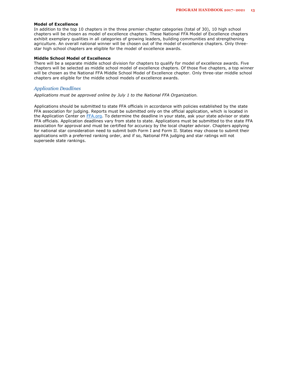#### **Model of Excellence**

In addition to the top 10 chapters in the three premier chapter categories (total of 30), 10 high school chapters will be chosen as model of excellence chapters. These National FFA Model of Excellence chapters exhibit exemplary qualities in all categories of growing leaders, building communities and strengthening agriculture. An overall national winner will be chosen out of the model of excellence chapters. Only threestar high school chapters are eligible for the model of excellence awards.

#### **Middle School Model of Excellence**

There will be a separate middle school division for chapters to qualify for model of excellence awards. Five chapters will be selected as middle school model of excellence chapters. Of those five chapters, a top winner will be chosen as the National FFA Middle School Model of Excellence chapter. Only three-star middle school chapters are eligible for the middle school models of excellence awards.

### *Application Deadlines*

*Applications must be approved online by July 1 to the National FFA Organization.*

Applications should be submitted to state FFA officials in accordance with policies established by the state FFA association for judging. Reports must be submitted only on the official application, which is located in the Application Center on [FFA.org.](http://www.ffa.org/) To determine the deadline in your state, ask your state advisor or state FFA officials. Application deadlines vary from state to state. Applications must be submitted to the state FFA association for approval and must be certified for accuracy by the local chapter advisor. Chapters applying for national star consideration need to submit both Form I and Form II. States may choose to submit their applications with a preferred ranking order, and if so, National FFA judging and star ratings will not supersede state rankings.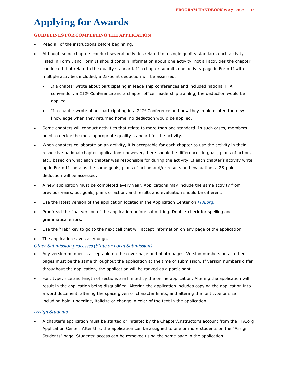# **Applying for Awards**

### **GUIDELINES FOR COMPLETING THE APPLICATION**

- Read all of the instructions before beginning.
- Although some chapters conduct several activities related to a single quality standard, each activity listed in Form I and Form II should contain information about one activity, not all activities the chapter conducted that relate to the quality standard. If a chapter submits one activity page in Form II with multiple activities included, a 25-point deduction will be assessed.
	- If a chapter wrote about participating in leadership conferences and included national FFA convention, a 212° Conference and a chapter officer leadership training, the deduction would be applied.
	- If a chapter wrote about participating in a 212 $\textdegree$  Conference and how they implemented the new knowledge when they returned home, no deduction would be applied.
- Some chapters will conduct activities that relate to more than one standard. In such cases, members need to decide the most appropriate quality standard for the activity.
- When chapters collaborate on an activity, it is acceptable for each chapter to use the activity in their respective national chapter applications; however, there should be differences in goals, plans of action, etc., based on what each chapter was responsible for during the activity. If each chapter's activity write up in Form II contains the same goals, plans of action and/or results and evaluation, a 25-point deduction will be assessed.
- A new application must be completed every year. Applications may include the same activity from previous years, but goals, plans of action, and results and evaluation should be different.
- Use the latest version of the application located in the Application Center on *FFA.org.*
- Proofread the final version of the application before submitting. Double-check for spelling and grammatical errors.
- Use the "Tab" key to go to the next cell that will accept information on any page of the application.
- The application saves as you go.

### *Other Submission processes (State or Local Submission)*

- Any version number is acceptable on the cover page and photo pages. Version numbers on all other pages must be the same throughout the application at the time of submission. If version numbers differ throughout the application, the application will be ranked as a participant.
- Font type, size and length of sections are limited by the online application. Altering the application will result in the application being disqualified. Altering the application includes copying the application into a word document, altering the space given or character limits, and altering the font type or size including bold, underline, italicize or change in color of the text in the application.

### *Assign Students*

• A chapter's application must be started or initiated by the Chapter/Instructor's account from the FFA.org Application Center. After this, the application can be assigned to one or more students on the "Assign Students" page. Students' access can be removed using the same page in the application.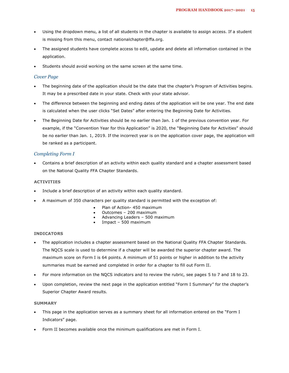- Using the dropdown menu, a list of all students in the chapter is available to assign access. If a student is missing from this menu, contact nationalchapter@ffa.org.
- The assigned students have complete access to edit, update and delete all information contained in the application.
- Students should avoid working on the same screen at the same time.

### *Cover Page*

- The beginning date of the application should be the date that the chapter's Program of Activities begins. It may be a prescribed date in your state. Check with your state advisor.
- The difference between the beginning and ending dates of the application will be one year. The end date is calculated when the user clicks "Set Dates" after entering the Beginning Date for Activities.
- The Beginning Date for Activities should be no earlier than Jan. 1 of the previous convention year. For example, if the "Convention Year for this Application" is 2020, the "Beginning Date for Activities" should be no earlier than Jan. 1, 2019. If the incorrect year is on the application cover page, the application will be ranked as a participant.

### *Completing Form I*

• Contains a brief description of an activity within each quality standard and a chapter assessment based on the National Quality FFA Chapter Standards.

### **ACTIVITIES**

- Include a brief description of an activity within each quality standard.
- A maximum of 350 characters per quality standard is permitted with the exception of:
	- Plan of Action- 450 maximum
	- Outcomes 200 maximum
	- Advancing Leaders 500 maximum
	- Impact 500 maximum

#### **INDICATORS**

- The application includes a chapter assessment based on the National Quality FFA Chapter Standards. The NQCS scale is used to determine if a chapter will be awarded the superior chapter award. The maximum score on Form I is 64 points. A minimum of 51 points or higher in addition to the activity summaries must be earned and completed in order for a chapter to fill out Form II.
- For more information on the NQCS indicators and to review the rubric, see pages 5 to 7 and 18 to 23.
- Upon completion, review the next page in the application entitled "Form I Summary" for the chapter's Superior Chapter Award results.

### **SUMMARY**

- This page in the application serves as a summary sheet for all information entered on the "Form I Indicators" page.
- Form II becomes available once the minimum qualifications are met in Form I.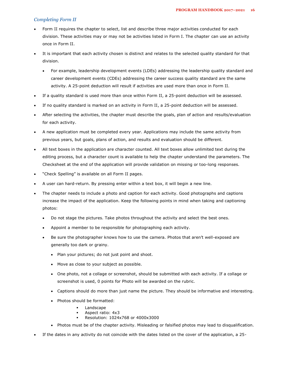### *Completing Form II*

- Form II requires the chapter to select, list and describe three major activities conducted for each division. These activities may or may not be activities listed in Form I. The chapter can use an activity once in Form II.
- It is important that each activity chosen is distinct and relates to the selected quality standard for that division.
	- For example, leadership development events (LDEs) addressing the leadership quality standard and career development events (CDEs) addressing the career success quality standard are the same activity. A 25-point deduction will result if activities are used more than once in Form II.
- If a quality standard is used more than once within Form II, a 25-point deduction will be assessed.
- If no quality standard is marked on an activity in Form II, a 25-point deduction will be assessed.
- After selecting the activities, the chapter must describe the goals, plan of action and results/evaluation for each activity.
- A new application must be completed every year. Applications may include the same activity from previous years, but goals, plans of action, and results and evaluation should be different.
- All text boxes in the application are character counted. All text boxes allow unlimited text during the editing process, but a character count is available to help the chapter understand the parameters. The Checksheet at the end of the application will provide validation on missing or too-long responses.
- "Check Spelling" is available on all Form II pages.
- A user can hard-return. By pressing enter within a text box, it will begin a new line.
- The chapter needs to include a photo and caption for each activity. Good photographs and captions increase the impact of the application. Keep the following points in mind when taking and captioning photos:
	- Do not stage the pictures. Take photos throughout the activity and select the best ones.
	- Appoint a member to be responsible for photographing each activity.
	- Be sure the photographer knows how to use the camera. Photos that aren't well-exposed are generally too dark or grainy.
		- Plan your pictures; do not just point and shoot.
		- Move as close to your subject as possible.
		- One photo, not a collage or screenshot, should be submitted with each activity. If a collage or screenshot is used, 0 points for Photo will be awarded on the rubric.
		- Captions should do more than just name the picture. They should be informative and interesting.
		- Photos should be formatted:
			- Landscape
			- Aspect ratio: 4x3
			- Resolution: 1024x768 or 4000x3000
		- Photos must be of the chapter activity. Misleading or falsified photos may lead to disqualification.
- If the dates in any activity do not coincide with the dates listed on the cover of the application, a 25-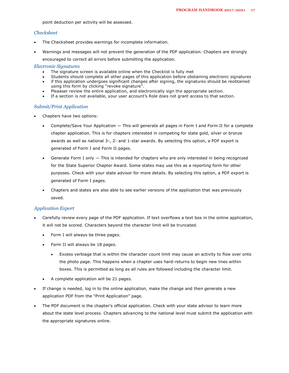point deduction per activity will be assessed.

### *Checksheet*

- The Checksheet provides warnings for incomplete information.
- Warnings and messages will not prevent the generation of the PDF application. Chapters are strongly

encouraged to correct all errors before submitting the application.

#### *Electronic Signatures*

- The signature screen is available online when the Checklist is fully met
- Students should complete all other pages of this application before obstaining electronic signatures
- if this application undergoes significant changes after signing, the signatures should be reobtained using this form by clicking "revoke signature".
- Pleaaser review the entire application, and electronically sign the appropriate section.
- If a section is not available, your user account's Role does not grant access to that section.

#### *Submit/Print Application*

- Chapters have two options:
	- Complete/Save Your Application This will generate all pages in Form I and Form II for a complete chapter application. This is for chapters interested in competing for state gold, silver or bronze awards as well as national 3-, 2- and 1-star awards. By selecting this option, a PDF export is generated of Form I and Form II pages.
	- Generate Form I only This is intended for chapters who are only interested in being recognized for the State Superior Chapter Award. Some states may use this as a reporting form for other purposes. Check with your state advisor for more details. By selecting this option, a PDF export is generated of Form I pages.
	- Chapters and states are also able to see earlier versions of the application that was previously saved.

#### *Application Export*

- Carefully review every page of the PDF application. If text overflows a text box in the online application, it will not be scored. Characters beyond the character limit will be truncated.
	- Form I will always be three pages.
	- Form II will always be 18 pages.
		- Excess verbiage that is within the character count limit may cause an activity to flow over onto the photo page. This happens when a chapter uses hard-returns to begin new lines within boxes. This is permitted as long as all rules are followed including the character limit.
	- A complete application will be 21 pages.
- If change is needed, log in to the online application, make the change and then generate a new application PDF from the "Print Application" page.
- The PDF document is the chapter's official application. Check with your state advisor to learn more about the state level process. Chapters advancing to the national level must submit the application with the appropriate signatures online.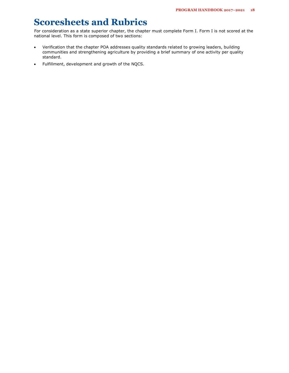## **Scoresheets and Rubrics**

For consideration as a state superior chapter, the chapter must complete Form I. Form I is not scored at the national level. This form is composed of two sections:

- Verification that the chapter POA addresses quality standards related to growing leaders, building communities and strengthening agriculture by providing a brief summary of one activity per quality standard.
- Fulfillment, development and growth of the NQCS.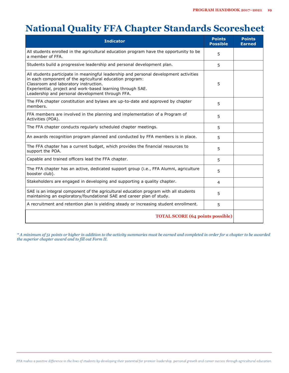## **National Quality FFA Chapter Standards Scoresheet**

| <b>Indicator</b>                                                                                                                                                                                                                                                                                             | <b>Points</b><br><b>Possible</b> | <b>Points</b><br><b>Earned</b> |
|--------------------------------------------------------------------------------------------------------------------------------------------------------------------------------------------------------------------------------------------------------------------------------------------------------------|----------------------------------|--------------------------------|
| All students enrolled in the agricultural education program have the opportunity to be<br>a member of FFA.                                                                                                                                                                                                   | 5                                |                                |
| Students build a progressive leadership and personal development plan.                                                                                                                                                                                                                                       | 5                                |                                |
| All students participate in meaningful leadership and personal development activities<br>in each component of the agricultural education program:<br>Classroom and laboratory instruction.<br>Experiential, project and work-based learning through SAE.<br>Leadership and personal development through FFA. | 5                                |                                |
| The FFA chapter constitution and bylaws are up-to-date and approved by chapter<br>members.                                                                                                                                                                                                                   | 5                                |                                |
| FFA members are involved in the planning and implementation of a Program of<br>Activities (POA).                                                                                                                                                                                                             | 5                                |                                |
| The FFA chapter conducts regularly scheduled chapter meetings.                                                                                                                                                                                                                                               | 5                                |                                |
| An awards recognition program planned and conducted by FFA members is in place.                                                                                                                                                                                                                              | 5                                |                                |
| The FFA chapter has a current budget, which provides the financial resources to<br>support the POA.                                                                                                                                                                                                          | 5                                |                                |
| Capable and trained officers lead the FFA chapter.                                                                                                                                                                                                                                                           | 5                                |                                |
| The FFA chapter has an active, dedicated support group (i.e., FFA Alumni, agriculture<br>booster club).                                                                                                                                                                                                      | 5                                |                                |
| Stakeholders are engaged in developing and supporting a quality chapter.                                                                                                                                                                                                                                     | $\overline{4}$                   |                                |
| SAE is an integral component of the agricultural education program with all students<br>maintaining an exploratory/foundational SAE and career plan of study.                                                                                                                                                | 5                                |                                |
| A recruitment and retention plan is yielding steady or increasing student enrollment.                                                                                                                                                                                                                        | 5                                |                                |
| <b>TOTAL SCORE (64 points possible)</b>                                                                                                                                                                                                                                                                      |                                  |                                |

*\* A minimum of 51 points or higher in addition to the activity summaries must be earned and completed in order for a chapter to be awarded the superior chapter award and to fill out Form II.*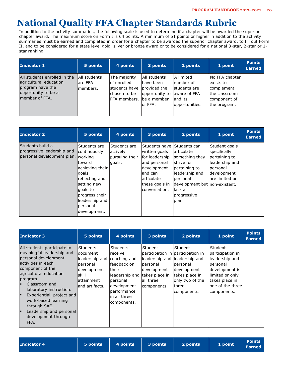## **National Quality FFA Chapter Standards Rubric**

In addition to the activity summaries, the following scale is used to determine if a chapter will be awarded the superior chapter award. The maximum score on Form I is 64 points. A minimum of 51 points or higher in addition to the activity summaries must be earned and completed in order for a chapter to be awarded the superior chapter award, to fill out Form II, and to be considered for a state level gold, silver or bronze award or to be considered for a national 3-star, 2-star or 1 star ranking.

| Indicator 1                                                                                                         | 5 points                               | 4 points                                                                       | 3 points                                                                                 | 2 points                                                                                 | 1 point                                                                                    | <b>Points</b><br><b>Earned</b> |
|---------------------------------------------------------------------------------------------------------------------|----------------------------------------|--------------------------------------------------------------------------------|------------------------------------------------------------------------------------------|------------------------------------------------------------------------------------------|--------------------------------------------------------------------------------------------|--------------------------------|
| All students enrolled in the<br>agricultural education<br>program have the<br>opportunity to be a<br>member of FFA. | All students <br>lare FFA<br>lmembers. | The majority<br>lof enrolled<br>students have<br>chosen to be<br>IFFA members. | All students<br>have been<br>Iprovided the<br>opportunity to<br>lbe a member<br>lof FFA. | l Alimited<br>Inumber of<br>lstudents are<br>laware of FFA<br>land its<br>opportunities. | No FFA chapter<br>exists to<br>complement<br>the classroom<br>component of<br>the program. |                                |

| <b>Indicator 2</b>                                                           | 5 points                                                                                                                                                                                    | 4 points                                              | 3 points                                                                                                                                      | 2 points                                                                                                                                                                        | 1 point                                                                                                        | <b>Points</b><br><b>Earned</b> |
|------------------------------------------------------------------------------|---------------------------------------------------------------------------------------------------------------------------------------------------------------------------------------------|-------------------------------------------------------|-----------------------------------------------------------------------------------------------------------------------------------------------|---------------------------------------------------------------------------------------------------------------------------------------------------------------------------------|----------------------------------------------------------------------------------------------------------------|--------------------------------|
| Students build a<br>progressive leadership and<br>personal development plan. | Students are<br>continuously<br>working<br>toward<br>achieving their<br>goals,<br>reflecting and<br>setting new<br>qoals to<br>progress their<br>leadership and<br>personal<br>development. | Students are<br>lactively<br>pursuing their<br>goals. | Students have<br>written goals<br>for leadership<br>and personal<br>development<br>land can<br>larticulate<br>these goals in<br>conversation. | Students can<br>larticulate<br>something they<br>strive for<br>pertaining to<br>leadership and<br>personal<br> development but non-existent.<br>llack a<br>progressive<br>plan. | Student goals<br>specifically<br>pertaining to<br>leadership and<br>personal<br>development<br>lare limited or |                                |

| <b>Indicator 3</b>                                                                                                                                                                                                                                                                                                                                         | 5 points                                                                                                                | 4 points                                                                                                                                                                        | 3 points                                                         | 2 points                                                                                                                                                                  | 1 point                                                                                                                                              | <b>Points</b><br><b>Earned</b> |
|------------------------------------------------------------------------------------------------------------------------------------------------------------------------------------------------------------------------------------------------------------------------------------------------------------------------------------------------------------|-------------------------------------------------------------------------------------------------------------------------|---------------------------------------------------------------------------------------------------------------------------------------------------------------------------------|------------------------------------------------------------------|---------------------------------------------------------------------------------------------------------------------------------------------------------------------------|------------------------------------------------------------------------------------------------------------------------------------------------------|--------------------------------|
| All students participate in<br>meaningful leadership and<br>personal development<br>lactivities in each<br>component of the<br>agricultural education<br>program:<br>Classroom and<br>E<br>laboratory instruction.<br>E<br>Experiential, project and<br>work-based learning<br>through SAE.<br>Leadership and personal<br>E<br>development through<br>FFA. | <b>Students</b><br>ldocument<br>leadership and<br>lpersonal<br>ldevelopment<br>lskill<br>lattainment<br>land artifacts. | <b>Students</b><br>receive<br>coaching and<br>lfeedback on<br>ltheir<br>leadership and takes place in<br>Ipersonal<br>development<br>performance<br>in all three<br>components. | Student<br>personal<br> development<br>lall three<br>components. | Student<br>participation in participation in<br>leadership and lleadership and<br> personal<br>development<br>ltakes place in<br>only two of the<br>lthree<br>components. | Student<br>participation in<br>leadership and<br>personal<br>development is<br>llimited or only<br>takes place in<br>one of the three<br>components. |                                |

| 5 points 4 points 3 points |  | <b>Indicator 4</b> |  |  |  | 2 points | 1 point | $\begin{array}{ c c }\n\hline\n\text{Points} \\ \hline\n\text{Earned}\n\end{array}$ |
|----------------------------|--|--------------------|--|--|--|----------|---------|-------------------------------------------------------------------------------------|
|----------------------------|--|--------------------|--|--|--|----------|---------|-------------------------------------------------------------------------------------|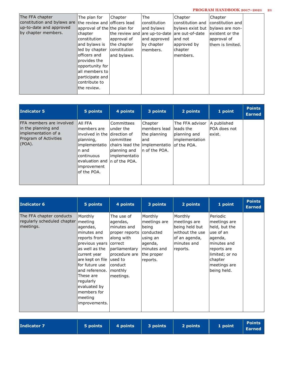### **PROGRAM HANDBOOK 2017–2021 21**

| The FFA chapter<br>constitution and bylaws are<br>up-to-date and approved<br>by chapter members. | The plan for<br>Ithe review and lofficers lead<br>approval of the the plan for<br>chapter<br>lconstitution<br>and bylaws is<br>lled by chapter<br>lofficers and<br>provides the<br>opportunity for<br>laII members to<br>lparticipate and<br>contribute to<br>lthe review. | Chapter<br>approval of<br>the chapter<br><i>constitution</i><br>and bylaws. | l The<br>lconstitution<br>and bylaws<br>the review and are up-to-date<br>and approved<br>by chapter<br>Imembers. | Chapter<br>lconstitution and<br>bylaws exist but  bylaws are non-<br>lare out-of-date<br>land not<br>approved by<br>chapter <br>lmembers. | Chapter<br>constitution and<br>lexistent or the<br>approval of<br>lthem is limited. |  |
|--------------------------------------------------------------------------------------------------|----------------------------------------------------------------------------------------------------------------------------------------------------------------------------------------------------------------------------------------------------------------------------|-----------------------------------------------------------------------------|------------------------------------------------------------------------------------------------------------------|-------------------------------------------------------------------------------------------------------------------------------------------|-------------------------------------------------------------------------------------|--|
|--------------------------------------------------------------------------------------------------|----------------------------------------------------------------------------------------------------------------------------------------------------------------------------------------------------------------------------------------------------------------------------|-----------------------------------------------------------------------------|------------------------------------------------------------------------------------------------------------------|-------------------------------------------------------------------------------------------------------------------------------------------|-------------------------------------------------------------------------------------|--|

| <b>Indicator 5</b>                                                                                               | 5 points                                                                                                                                                                                   | 4 points                                                                                                    | 3 points                                                           | 2 points                                                                        | 1 point                                 | <b>Points</b><br><b>Earned</b> |
|------------------------------------------------------------------------------------------------------------------|--------------------------------------------------------------------------------------------------------------------------------------------------------------------------------------------|-------------------------------------------------------------------------------------------------------------|--------------------------------------------------------------------|---------------------------------------------------------------------------------|-----------------------------------------|--------------------------------|
| <b>FFA members are involved</b><br>in the planning and<br>implementation of a<br>Program of Activities<br>(POA). | <b>AII FFA</b><br>lmembers are<br>linvolved in the Idirection of<br>Iplanning,<br>limplementatio<br>In and<br>lcontinuous<br>evaluation and  n of the POA.<br>limprovement<br>lof the POA. | lCommittees<br>lunder the<br>lcommittee<br>chairs lead the limplementatio<br>planning and<br>limplementatio | Chapter<br>lmembers lead<br>the planning<br>land<br>In of the POA. | The FFA advisor<br>lleads the<br>planning and<br>implementation<br>lof the POA. | A published<br>IPOA does not<br>lexist. |                                |

| Indicator 6                                                                  | 5 points                                                                                                                                                                                                                                              | 4 points                                                                                                                                                                    | 3 points                                                                                                      | 2 points                                                                                                 | 1 point                                                                                                                                                      | <b>Points</b><br><b>Earned</b> |
|------------------------------------------------------------------------------|-------------------------------------------------------------------------------------------------------------------------------------------------------------------------------------------------------------------------------------------------------|-----------------------------------------------------------------------------------------------------------------------------------------------------------------------------|---------------------------------------------------------------------------------------------------------------|----------------------------------------------------------------------------------------------------------|--------------------------------------------------------------------------------------------------------------------------------------------------------------|--------------------------------|
| The FFA chapter conducts<br>regularly scheduled chapter meeting<br>meetings. | Monthly<br>lagendas,<br>minutes and<br>reports from<br>previous years<br>as well as the<br>current year<br>are kept on file<br>lfor future use<br>and reference.<br>These are<br>regularly<br>evaluated by<br>members for<br>meeting<br>improvements. | The use of<br>agendas,<br>lminutes and<br>proper reports<br>lalong with<br><b>correct</b><br>parliamentary<br>procedure are<br>lused to<br>conduct<br> monthly<br>meetings. | Monthly<br>meetings are<br>being<br>conducted<br>using an<br>agenda,<br>minutes and<br>the proper<br>reports. | Monthly<br>meetings are<br>being held but<br>without the use<br>of an agenda,<br>minutes and<br>reports. | Periodic<br>meetings are<br>held, but the<br>luse of an<br>agenda,<br>minutes and<br>reports are<br>limited; or no<br>chapter<br>meetings are<br>being held. |                                |

| Indicator 7 | 5 points 4 points 3 points |  | 2 points | 1 point | Points<br>Earned |
|-------------|----------------------------|--|----------|---------|------------------|
|-------------|----------------------------|--|----------|---------|------------------|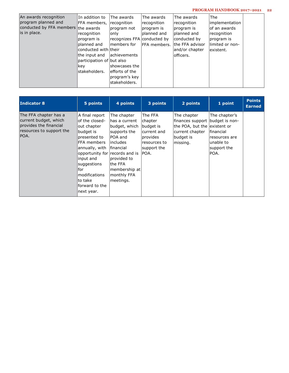### **PROGRAM HANDBOOK 2017–2021 22**

| An awards recognition<br>program planned and<br>conducted by FFA members the awards<br>is in place. | In addition to<br> FFA members,<br>recognition<br>program is<br>planned and<br>conducted with their<br>lthe input and<br>participation of but also<br>ikev<br>lstakeholders. | The awards<br>recognition<br>program not<br>lonly<br>recognizes FFA conducted by<br>Imembers for<br>achievements<br>lshowcases the<br>lefforts of the<br>program's key<br>lstakeholders. | The awards<br> recognition<br>program is<br>planned and<br>IFFA members. | The awards<br>recognition<br>program is<br>Iplanned and<br>conducted by<br>lthe FFA advisor<br>and/or chapter<br>lofficers. | The<br>limplementation<br>lof an awards<br>recognition<br>program is<br>llimited or non-<br>lexistent. |  |
|-----------------------------------------------------------------------------------------------------|------------------------------------------------------------------------------------------------------------------------------------------------------------------------------|------------------------------------------------------------------------------------------------------------------------------------------------------------------------------------------|--------------------------------------------------------------------------|-----------------------------------------------------------------------------------------------------------------------------|--------------------------------------------------------------------------------------------------------|--|
|-----------------------------------------------------------------------------------------------------|------------------------------------------------------------------------------------------------------------------------------------------------------------------------------|------------------------------------------------------------------------------------------------------------------------------------------------------------------------------------------|--------------------------------------------------------------------------|-----------------------------------------------------------------------------------------------------------------------------|--------------------------------------------------------------------------------------------------------|--|

| <b>Indicator 8</b>                                                                                            | 5 points                                                                                                                                                                                                                                       | 4 points                                                                                                                                                                                  | 3 points                                                                                          | 2 points                                                                                                                    | 1 point                                                                          | <b>Points</b><br><b>Earned</b> |
|---------------------------------------------------------------------------------------------------------------|------------------------------------------------------------------------------------------------------------------------------------------------------------------------------------------------------------------------------------------------|-------------------------------------------------------------------------------------------------------------------------------------------------------------------------------------------|---------------------------------------------------------------------------------------------------|-----------------------------------------------------------------------------------------------------------------------------|----------------------------------------------------------------------------------|--------------------------------|
| The FFA chapter has a<br>current budget, which<br>provides the financial<br>resources to support the<br>IPOA. | A final report<br>of the closed-<br>out chapter<br>budget is<br>presented to<br>FFA members<br>annually, with<br>opportunity for records and is<br>input and<br>suggestions<br>for<br>modifications<br>to take<br>forward to the<br>next year. | The chapter<br>has a current<br>budget, which<br>supports the<br><b>POA and</b><br>lincludes<br><i>Ifinancial</i><br>provided to<br>lthe FFA<br>membership at<br>monthly FFA<br>meetings. | The FFA<br>chapter<br>budget is<br>current and<br>provides<br>resources to<br>support the<br>POA. | The chapter<br>finances support budget is non-<br>the POA, but the lexistent or<br>current chapter<br>budget is<br>missing. | The chapter's<br>lfinancial<br>resources are<br>unable to<br>support the<br>POA. |                                |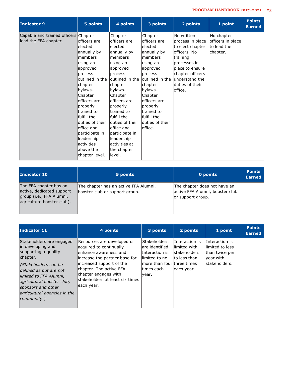| <b>Indicator 9</b>                                            | 5 points                                                                                                                                                                                                                                                                                                        | 4 points                                                                                                                                                                                                                                                                                                                  | 3 points                                                                                                                                                                                                                                    | 2 points                                                                                                                                                                               | 1 point                                                    | <b>Points</b><br><b>Earned</b> |
|---------------------------------------------------------------|-----------------------------------------------------------------------------------------------------------------------------------------------------------------------------------------------------------------------------------------------------------------------------------------------------------------|---------------------------------------------------------------------------------------------------------------------------------------------------------------------------------------------------------------------------------------------------------------------------------------------------------------------------|---------------------------------------------------------------------------------------------------------------------------------------------------------------------------------------------------------------------------------------------|----------------------------------------------------------------------------------------------------------------------------------------------------------------------------------------|------------------------------------------------------------|--------------------------------|
| Capable and trained officers Chapter<br>lead the FFA chapter. | officers are<br>elected<br>annually by<br>members<br>using an<br>approved<br>process<br>outlined in the<br>chapter<br>bylaws.<br>Chapter<br>officers are<br>properly<br>trained to<br>fulfill the<br>duties of their<br>office and<br>participate in<br>leadership<br>activities<br>above the<br>chapter level. | Chapter<br>officers are<br>elected<br>annually by<br>members<br>using an<br>approved<br>process<br>loutlined in the<br>chapter<br>bylaws.<br>Chapter<br>officers are<br>properly<br>trained to<br>fulfill the<br>lduties of their<br>office and<br>participate in<br>leadership<br>activities at<br>the chapter<br>level. | Chapter<br>officers are<br>elected<br>annually by<br>members<br>using an<br>approved<br>process<br>loutlined in the<br>chapter<br>bylaws.<br>Chapter<br>officers are<br>properly<br>trained to<br>fulfill the<br>duties of their<br>office. | No written<br>process in place<br>to elect chapter<br>officers. No<br>training<br>processes in<br>place to ensure<br>chapter officers<br>lunderstand the<br>duties of their<br>office. | No chapter<br>officers in place<br>to lead the<br>chapter. |                                |

| Indicator 10                                                                                                  | 5 points                                                                | 0 points                                                                             | <b>Points</b><br><b>Earned</b> |
|---------------------------------------------------------------------------------------------------------------|-------------------------------------------------------------------------|--------------------------------------------------------------------------------------|--------------------------------|
| The FFA chapter has an<br>active, dedicated support<br>group (i.e., FFA Alumni,<br>agriculture booster club). | The chapter has an active FFA Alumni,<br>booster club or support group. | The chapter does not have an<br>active FFA Alumni, booster club<br>or support group. |                                |

| <b>Indicator 11</b>                                                                                                                                                                                                                                              | 4 points                                                                                                                                                                                                                                           | 3 points                                                                                                                            | 2 points                                                                              | 1 point                                                                             | <b>Points</b><br><b>Earned</b> |
|------------------------------------------------------------------------------------------------------------------------------------------------------------------------------------------------------------------------------------------------------------------|----------------------------------------------------------------------------------------------------------------------------------------------------------------------------------------------------------------------------------------------------|-------------------------------------------------------------------------------------------------------------------------------------|---------------------------------------------------------------------------------------|-------------------------------------------------------------------------------------|--------------------------------|
| Stakeholders are engaged<br>in developing and<br>supporting a quality<br>chapter.<br>(Stakeholders can be<br>defined as but are not<br>limited to FFA Alumni,<br>agricultural booster club,<br>sponsors and other<br>agricultural agencies in the<br>community.) | Resources are developed or<br>acquired to continually<br>lenhance awareness and<br>increase the partner base for<br>increased support of the<br>chapter. The active FFA<br>chapter engages with<br>lstakeholders at least six times<br> each year. | <b>Stakeholders</b><br>lare identified.<br>IInteraction is<br>llimited to no<br>lmore than fourlthree times<br>ltimes each<br>year. | Interaction is<br>llimited with<br><b>stakeholders</b><br>to less than<br>leach year. | Interaction is<br>llimited to less<br>than twice per<br>lyear with<br>stakeholders. |                                |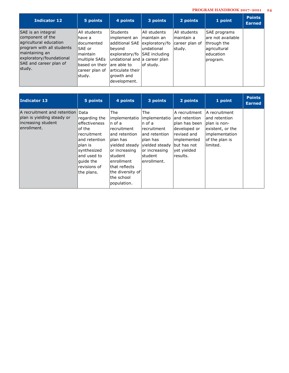## **PROGRAM HANDBOOK 2017–2021 24**

| Indicator 12                                                                                                                                                                    | 5 points                                                                                                                       | 4 points                                                                                                                                                                                       | 3 points                                                                   | 2 points                                                 | 1 point                                                                                      | <b>Points</b><br><b>Earned</b> |
|---------------------------------------------------------------------------------------------------------------------------------------------------------------------------------|--------------------------------------------------------------------------------------------------------------------------------|------------------------------------------------------------------------------------------------------------------------------------------------------------------------------------------------|----------------------------------------------------------------------------|----------------------------------------------------------|----------------------------------------------------------------------------------------------|--------------------------------|
| SAE is an integral<br>component of the<br>agricultural education<br>program with all students<br>maintaining an<br>exploratory/foundational<br>SAE and career plan of<br>study. | All students<br>lhave a<br>ldocumented<br>lSAE or<br>lmaintain<br>multiple SAEs<br>based on their<br>career plan of<br>lstudy. | <b>Students</b><br>implement an<br>additional SAE<br>beyond<br>exploratory/fo SAE including<br>undational and a career plan<br>lare able to<br>larticulate their<br>growth and<br>development. | All students<br>maintain an<br>exploratory/fo<br>lundational<br>lof studv. | IAII students<br>lmaintain a<br>career plan of<br>study. | SAE programs<br>lare not available<br>through the<br>lagricultural<br>leducation<br>program. |                                |

| Indicator 13                                                                                          | 5 points                                                                                                                                                           | 4 points                                                                                                                                                                                                               | 3 points                                                                                                                                    | 2 points                                                                                                                                   | 1 point                                                                                                                | <b>Points</b><br><b>Earned</b> |
|-------------------------------------------------------------------------------------------------------|--------------------------------------------------------------------------------------------------------------------------------------------------------------------|------------------------------------------------------------------------------------------------------------------------------------------------------------------------------------------------------------------------|---------------------------------------------------------------------------------------------------------------------------------------------|--------------------------------------------------------------------------------------------------------------------------------------------|------------------------------------------------------------------------------------------------------------------------|--------------------------------|
| A recruitment and retention   Data<br>plan is yielding steady or<br>increasing student<br>enrollment. | regarding the<br>leffectiveness<br>lof the<br>recruitment<br>land retention<br>Iplan is<br>synthesized<br>land used to<br>lguide the<br>revisions of<br>the plans. | The<br>implementatio<br>n of a<br>recruitment<br>land retention<br>lplan has<br>vielded steady<br>or increasing<br><b>Istudent</b><br>lenrollment<br>lthat reflects<br>lthe diversity ofl<br>the school<br>population. | lThe.<br>implementatio<br>In of a<br>Irecruitment<br>and retention<br>plan has<br>vielded steady<br>or increasing<br>student<br>enrollment. | A recruitment<br>land retention<br>pllan has been<br>developed or <br>revised and<br>implemented<br>but has not<br>yet yielded<br>results. | A recruitment<br>land retention<br>Iplan is non-<br>existent, or the<br>limplementation<br>of the plan is<br>llimited. |                                |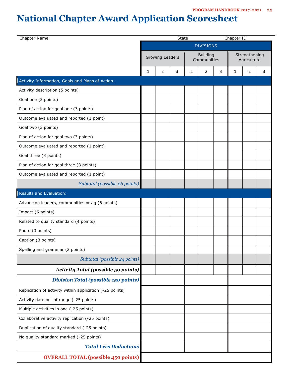# **National Chapter Award Application Scoresheet**

| Chapter Name                                            |   |                        | <b>State</b> |             |                  |   |             | Chapter ID    |   |
|---------------------------------------------------------|---|------------------------|--------------|-------------|------------------|---|-------------|---------------|---|
|                                                         |   |                        |              |             | <b>DIVISIONS</b> |   |             |               |   |
|                                                         |   | <b>Growing Leaders</b> |              |             | <b>Building</b>  |   |             | Strengthening |   |
|                                                         |   |                        |              | Communities |                  |   | Agriculture |               |   |
|                                                         | 1 | 2                      | 3            | 1           | 2                | 3 | 1           | 2             | 3 |
| Activity Information, Goals and Plans of Action:        |   |                        |              |             |                  |   |             |               |   |
| Activity description (5 points)                         |   |                        |              |             |                  |   |             |               |   |
| Goal one (3 points)                                     |   |                        |              |             |                  |   |             |               |   |
| Plan of action for goal one (3 points)                  |   |                        |              |             |                  |   |             |               |   |
| Outcome evaluated and reported (1 point)                |   |                        |              |             |                  |   |             |               |   |
| Goal two (3 points)                                     |   |                        |              |             |                  |   |             |               |   |
| Plan of action for goal two (3 points)                  |   |                        |              |             |                  |   |             |               |   |
| Outcome evaluated and reported (1 point)                |   |                        |              |             |                  |   |             |               |   |
| Goal three (3 points)                                   |   |                        |              |             |                  |   |             |               |   |
| Plan of action for goal three (3 points)                |   |                        |              |             |                  |   |             |               |   |
| Outcome evaluated and reported (1 point)                |   |                        |              |             |                  |   |             |               |   |
| Subtotal (possible 26 points)                           |   |                        |              |             |                  |   |             |               |   |
| Results and Evaluation:                                 |   |                        |              |             |                  |   |             |               |   |
| Advancing leaders, communities or ag (6 points)         |   |                        |              |             |                  |   |             |               |   |
| Impact (6 points)                                       |   |                        |              |             |                  |   |             |               |   |
| Related to quality standard (4 points)                  |   |                        |              |             |                  |   |             |               |   |
| Photo (3 points)                                        |   |                        |              |             |                  |   |             |               |   |
| Caption (3 points)                                      |   |                        |              |             |                  |   |             |               |   |
| Spelling and grammar (2 points)                         |   |                        |              |             |                  |   |             |               |   |
| Subtotal (possible 24 points)                           |   |                        |              |             |                  |   |             |               |   |
| <b>Activity Total (possible 50 points)</b>              |   |                        |              |             |                  |   |             |               |   |
| <b>Division Total (possible 150 points)</b>             |   |                        |              |             |                  |   |             |               |   |
| Replication of activity within application (-25 points) |   |                        |              |             |                  |   |             |               |   |
| Activity date out of range (-25 points)                 |   |                        |              |             |                  |   |             |               |   |
| Multiple activities in one (-25 points)                 |   |                        |              |             |                  |   |             |               |   |
| Collaborative activity replication (-25 points)         |   |                        |              |             |                  |   |             |               |   |
| Duplication of quality standard (-25 points)            |   |                        |              |             |                  |   |             |               |   |
| No quality standard marked (-25 points)                 |   |                        |              |             |                  |   |             |               |   |
| <b>Total Less Deductions</b>                            |   |                        |              |             |                  |   |             |               |   |
| <b>OVERALL TOTAL (possible 450 points)</b>              |   |                        |              |             |                  |   |             |               |   |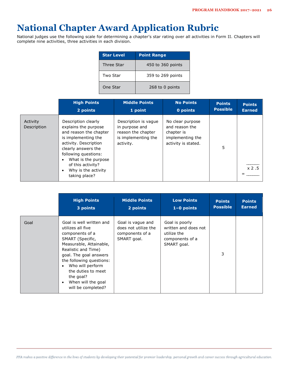## **National Chapter Award Application Rubric**

National judges use the following scale for determining a chapter's star rating over all activities in Form II. Chapters will complete nine activities, three activities in each division.

| <b>Star Level</b> | <b>Point Range</b> |
|-------------------|--------------------|
| Three Star        | 450 to 360 points  |
| Two Star          | 359 to 269 points  |
| One Star          | 268 to 0 points    |

|                         | <b>High Points</b>                                                                                                                                                                                                                                                                 | <b>Middle Points</b>                                                                             | <b>No Points</b>                                                                            | <b>Points</b>   | <b>Points</b> |
|-------------------------|------------------------------------------------------------------------------------------------------------------------------------------------------------------------------------------------------------------------------------------------------------------------------------|--------------------------------------------------------------------------------------------------|---------------------------------------------------------------------------------------------|-----------------|---------------|
|                         | 2 points                                                                                                                                                                                                                                                                           | 1 point                                                                                          | 0 points                                                                                    | <b>Possible</b> | <b>Earned</b> |
| Activity<br>Description | Description clearly<br>explains the purpose<br>and reason the chapter<br>is implementing the<br>activity. Description<br>clearly answers the<br>following questions:<br>What is the purpose<br>$\bullet$<br>of this activity?<br>Why is the activity<br>$\bullet$<br>taking place? | Description is vague<br>in purpose and<br>reason the chapter<br>is implementing the<br>activity. | No clear purpose<br>and reason the<br>chapter is<br>implementing the<br>activity is stated. | 5               | x 2.5         |

|      | <b>High Points</b>                                                                                                                                                                                                                                                                                   | <b>Middle Points</b>                                                        | <b>Low Points</b>                                                                       | <b>Points</b>   | <b>Points</b> |
|------|------------------------------------------------------------------------------------------------------------------------------------------------------------------------------------------------------------------------------------------------------------------------------------------------------|-----------------------------------------------------------------------------|-----------------------------------------------------------------------------------------|-----------------|---------------|
|      | 3 points                                                                                                                                                                                                                                                                                             | 2 points                                                                    | $1-0$ points                                                                            | <b>Possible</b> | <b>Earned</b> |
| Goal | Goal is well written and<br>utilizes all five<br>components of a<br>SMART (Specific,<br>Measurable, Attainable,<br>Realistic and Time)<br>goal. The goal answers<br>the following questions:<br>Who will perform<br>٠<br>the duties to meet<br>the goal?<br>When will the goal<br>will be completed? | Goal is vague and<br>does not utilize the<br>components of a<br>SMART goal. | Goal is poorly<br>written and does not<br>utilize the<br>components of a<br>SMART goal. | 3               |               |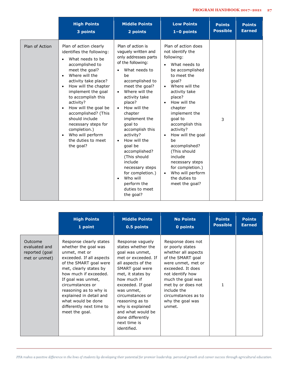|                | <b>High Points</b>                                                                                                                                                                                                                                                                                                                                                                                                                            | <b>Middle Points</b>                                                                                                                                                                                                                                                                                                                                                                                                                                                                                 | <b>Low Points</b>                                                                                                                                                                                                                                                                                                                                                                                                                                                                           | <b>Points</b>   | <b>Points</b> |
|----------------|-----------------------------------------------------------------------------------------------------------------------------------------------------------------------------------------------------------------------------------------------------------------------------------------------------------------------------------------------------------------------------------------------------------------------------------------------|------------------------------------------------------------------------------------------------------------------------------------------------------------------------------------------------------------------------------------------------------------------------------------------------------------------------------------------------------------------------------------------------------------------------------------------------------------------------------------------------------|---------------------------------------------------------------------------------------------------------------------------------------------------------------------------------------------------------------------------------------------------------------------------------------------------------------------------------------------------------------------------------------------------------------------------------------------------------------------------------------------|-----------------|---------------|
|                | 3 points                                                                                                                                                                                                                                                                                                                                                                                                                                      | 2 points                                                                                                                                                                                                                                                                                                                                                                                                                                                                                             | $1-0$ points                                                                                                                                                                                                                                                                                                                                                                                                                                                                                | <b>Possible</b> | <b>Earned</b> |
| Plan of Action | Plan of action clearly<br>identifies the following:<br>What needs to be<br>accomplished to<br>meet the goal?<br>Where will the<br>activity take place?<br>How will the chapter<br>$\bullet$<br>implement the goal<br>to accomplish this<br>activity?<br>How will the goal be<br>$\bullet$<br>accomplished? (This<br>should include<br>necessary steps for<br>completion.)<br>Who will perform<br>$\bullet$<br>the duties to meet<br>the goal? | Plan of action is<br>vaguely written and<br>only addresses parts<br>of the following:<br>What needs to<br>be<br>accomplished to<br>meet the goal?<br>Where will the<br>$\bullet$<br>activity take<br>place?<br>How will the<br>$\bullet$<br>chapter<br>implement the<br>goal to<br>accomplish this<br>activity?<br>How will the<br>$\bullet$<br>goal be<br>accomplished?<br>(This should<br>include<br>necessary steps<br>for completion.)<br>Who will<br>perform the<br>duties to meet<br>the goal? | Plan of action does<br>not identify the<br>following:<br>What needs to<br>$\bullet$<br>be accomplished<br>to meet the<br>qoal?<br>Where will the<br>$\bullet$<br>activity take<br>place?<br>How will the<br>$\bullet$<br>chapter<br>implement the<br>goal to<br>accomplish this<br>activity?<br>How will the goal<br>$\bullet$<br>be<br>accomplished?<br>(This should<br>include<br>necessary steps<br>for completion.)<br>Who will perform<br>$\bullet$<br>the duties to<br>meet the goal? | 3               |               |

|                                                             | <b>High Points</b>                                                                                                                                                                                                                                                                                                                           | <b>Middle Points</b>                                                                                                                                                                                                                                                                                                                | <b>No Points</b>                                                                                                                                                                                                                                                | <b>Points</b>   | <b>Points</b> |
|-------------------------------------------------------------|----------------------------------------------------------------------------------------------------------------------------------------------------------------------------------------------------------------------------------------------------------------------------------------------------------------------------------------------|-------------------------------------------------------------------------------------------------------------------------------------------------------------------------------------------------------------------------------------------------------------------------------------------------------------------------------------|-----------------------------------------------------------------------------------------------------------------------------------------------------------------------------------------------------------------------------------------------------------------|-----------------|---------------|
|                                                             | 1 point                                                                                                                                                                                                                                                                                                                                      | 0.5 points                                                                                                                                                                                                                                                                                                                          | 0 points                                                                                                                                                                                                                                                        | <b>Possible</b> | <b>Earned</b> |
| Outcome<br>evaluated and<br>reported (goal<br>met or unmet) | Response clearly states<br>whether the goal was<br>unmet, met or<br>exceeded. If all aspects<br>of the SMART goal were<br>met, clearly states by<br>how much if exceeded.<br>If goal was unmet,<br>circumstances or<br>reasoning as to why is<br>explained in detail and<br>what would be done<br>differently next time to<br>meet the goal. | Response vaguely<br>states whether the<br>goal was unmet,<br>met or exceeded. If<br>all aspects of the<br>SMART goal were<br>met, it states by<br>how much if<br>exceeded. If goal<br>was unmet,<br>circumstances or<br>reasoning as to<br>why is explained<br>and what would be<br>done differently<br>next time is<br>identified. | Response does not<br>or poorly states<br>whether all aspects<br>of the SMART goal<br>were unmet, met or<br>exceeded. It does<br>not identify how<br>much the goal was<br>met by or does not<br>include the<br>circumstances as to<br>why the goal was<br>unmet. | $\mathbf{1}$    |               |

FFA makes a positive difference in the lives of students by developing their potential for premier leadership, personal growth and career success through agricultural education.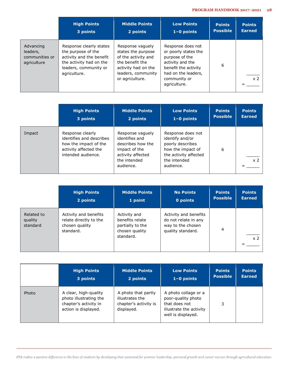|                                                        | <b>High Points</b>                                                                                                                            | <b>Middle Points</b>                                                                                                                             | <b>Low Points</b>                                                                                                                                              | <b>Points</b>   | <b>Points</b>  |
|--------------------------------------------------------|-----------------------------------------------------------------------------------------------------------------------------------------------|--------------------------------------------------------------------------------------------------------------------------------------------------|----------------------------------------------------------------------------------------------------------------------------------------------------------------|-----------------|----------------|
|                                                        | 3 points                                                                                                                                      | 2 points                                                                                                                                         | $1-0$ points                                                                                                                                                   | <b>Possible</b> | <b>Earned</b>  |
| Advancing<br>leaders,<br>communities or<br>agriculture | Response clearly states<br>the purpose of the<br>activity and the benefit<br>the activity had on the<br>leaders, community or<br>agriculture. | Response vaguely<br>states the purpose<br>of the activity and<br>the benefit the<br>activity had on the<br>leaders, community<br>or agriculture. | Response does not<br>or poorly states the<br>purpose of the<br>activity and the<br>benefit the activity<br>had on the leaders,<br>community or<br>agriculture. | 6               | x <sub>2</sub> |

|        | <b>High Points</b>                                                                                                   | <b>Middle Points</b>                                                                                                       | <b>Low Points</b>                                                                                                                   | <b>Points</b>   | <b>Points</b>  |
|--------|----------------------------------------------------------------------------------------------------------------------|----------------------------------------------------------------------------------------------------------------------------|-------------------------------------------------------------------------------------------------------------------------------------|-----------------|----------------|
|        | 3 points                                                                                                             | 2 points                                                                                                                   | $1-0$ points                                                                                                                        | <b>Possible</b> | <b>Earned</b>  |
| Impact | Response clearly<br>identifies and describes<br>how the impact of the<br>activity affected the<br>intended audience. | Response vaguely<br>identifies and<br>describes how the<br>impact of the<br>activity affected<br>the intended<br>audience. | Response does not<br>identify and/or<br>poorly describes<br>how the impact of<br>the activity affected<br>the intended<br>audience. | 6               | x <sub>2</sub> |

|                                   | <b>High Points</b>                                                             | <b>Middle Points</b>                                                               | <b>No Points</b>                                                                        | <b>Points</b>   | <b>Points</b>  |
|-----------------------------------|--------------------------------------------------------------------------------|------------------------------------------------------------------------------------|-----------------------------------------------------------------------------------------|-----------------|----------------|
|                                   | 2 points                                                                       | 1 point                                                                            | 0 points                                                                                | <b>Possible</b> | <b>Earned</b>  |
| Related to<br>quality<br>standard | Activity and benefits<br>relate directly to the<br>chosen quality<br>standard. | Activity and<br>benefits relate<br>partially to the<br>chosen quality<br>standard. | Activity and benefits<br>do not relate in any<br>way to the chosen<br>quality standard. | 4               | x <sub>2</sub> |

|       | <b>High Points</b>                                                                               | <b>Middle Points</b>                                                          | <b>Low Points</b>                                                                                            | <b>Points</b>   | <b>Points</b> |
|-------|--------------------------------------------------------------------------------------------------|-------------------------------------------------------------------------------|--------------------------------------------------------------------------------------------------------------|-----------------|---------------|
|       | 3 points                                                                                         | 2 points                                                                      | $1-0$ points                                                                                                 | <b>Possible</b> | <b>Earned</b> |
| Photo | A clear, high-quality<br>photo illustrating the<br>chapter's activity in<br>action is displayed. | A photo that partly<br>illustrates the<br>chapter's activity is<br>displayed. | A photo collage or a<br>poor-quality photo<br>that does not<br>illustrate the activity<br>well is displayed. | 3               |               |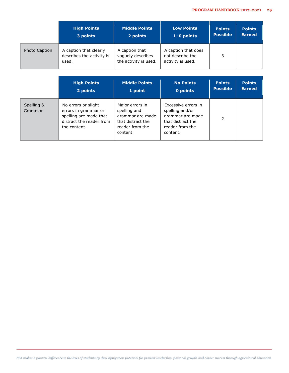|               | <b>High Points</b>                                           | <b>Middle Points</b>                                         | <b>Low Points</b>                                            | <b>Points</b>   | <b>Points</b> |
|---------------|--------------------------------------------------------------|--------------------------------------------------------------|--------------------------------------------------------------|-----------------|---------------|
|               | 3 points                                                     | 2 points                                                     | $1-0$ points                                                 | <b>Possible</b> | <b>Earned</b> |
| Photo Caption | A caption that clearly<br>describes the activity is<br>used. | A caption that<br>vaguely describes<br>the activity is used. | A caption that does<br>not describe the<br>activity is used. | 3               |               |

|                       | <b>High Points</b><br>2 points                                                                                    | <b>Middle Points</b><br>1 point                                                                         | <b>No Points</b><br>0 points                                                                                   | <b>Points</b><br><b>Possible</b> | <b>Points</b><br><b>Earned</b> |
|-----------------------|-------------------------------------------------------------------------------------------------------------------|---------------------------------------------------------------------------------------------------------|----------------------------------------------------------------------------------------------------------------|----------------------------------|--------------------------------|
| Spelling &<br>Grammar | No errors or slight<br>errors in grammar or<br>spelling are made that<br>distract the reader from<br>the content. | Major errors in<br>spelling and<br>grammar are made<br>that distract the<br>reader from the<br>content. | Excessive errors in<br>spelling and/or<br>grammar are made<br>that distract the<br>reader from the<br>content. | 2                                |                                |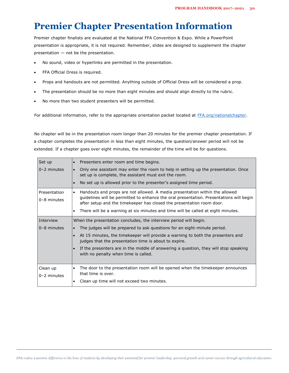## **Premier Chapter Presentation Information**

Premier chapter finalists are evaluated at the National FFA Convention & Expo. While a PowerPoint presentation is appropriate, it is not required. Remember, slides are designed to supplement the chapter presentation — not be the presentation.

- No sound, video or hyperlinks are permitted in the presentation.
- FFA Official Dress is required.
- Props and handouts are not permitted. Anything outside of Official Dress will be considered a prop.
- The presentation should be no more than eight minutes and should align directly to the rubric.
- No more than two student presenters will be permitted.

For additional information, refer to the appropriate orientation packet located at [FFA.org/nationalchapter.](http://www.ffa.org/nationachapter)

No chapter will be in the presentation room longer than 20 minutes for the premier chapter presentation. If a chapter completes the presentation in less than eight minutes, the question/answer period will not be extended. If a chapter goes over eight minutes, the remainder of the time will be for questions.

| Set up                          | Presenters enter room and time begins.<br>$\bullet$                                                                                                                                                                                                          |
|---------------------------------|--------------------------------------------------------------------------------------------------------------------------------------------------------------------------------------------------------------------------------------------------------------|
| $0 - 2$ minutes                 | Only one assistant may enter the room to help in setting up the presentation. Once<br>$\bullet$<br>set up is complete, the assistant must exit the room.                                                                                                     |
|                                 | No set up is allowed prior to the presenter's assigned time period.<br>$\bullet$                                                                                                                                                                             |
| Presentation<br>$0 - 8$ minutes | Handouts and props are not allowed. A media presentation within the allowed<br>$\bullet$<br>guidelines will be permitted to enhance the oral presentation. Presentations will begin<br>after setup and the timekeeper has closed the presentation room door. |
|                                 | There will be a warning at six minutes and time will be called at eight minutes.<br>$\bullet$                                                                                                                                                                |
| Interview                       | When the presentation concludes, the interview period will begin.                                                                                                                                                                                            |
| $0 - 8$ minutes                 | The judges will be prepared to ask questions for an eight-minute period.<br>$\bullet$                                                                                                                                                                        |
|                                 | At 15 minutes, the timekeeper will provide a warning to both the presenters and<br>judges that the presentation time is about to expire.                                                                                                                     |
|                                 | If the presenters are in the middle of answering a question, they will stop speaking<br>with no penalty when time is called.                                                                                                                                 |
| Clean up                        | The door to the presentation room will be opened when the timekeeper announces<br>$\bullet$                                                                                                                                                                  |
| $0 - 2$ minutes                 | that time is over.                                                                                                                                                                                                                                           |
|                                 | Clean up time will not exceed two minutes.<br>$\bullet$                                                                                                                                                                                                      |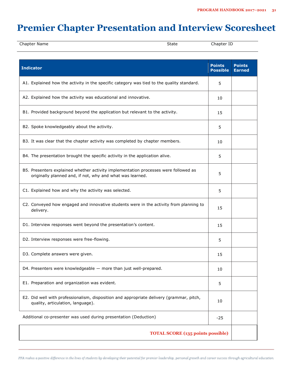## **Premier Chapter Presentation and Interview Scoresheet**

| Chapter Name | -<br>State | $-1$<br>:hapter<br>ப |  |
|--------------|------------|----------------------|--|
|              |            |                      |  |

| <b>Indicator</b>                                                                                                                                 | <b>Points</b><br><b>Possible</b> | <b>Points</b><br><b>Earned</b> |  |  |  |
|--------------------------------------------------------------------------------------------------------------------------------------------------|----------------------------------|--------------------------------|--|--|--|
| A1. Explained how the activity in the specific category was tied to the quality standard.                                                        | 5                                |                                |  |  |  |
| A2. Explained how the activity was educational and innovative.                                                                                   | 10                               |                                |  |  |  |
| B1. Provided background beyond the application but relevant to the activity.                                                                     | 15                               |                                |  |  |  |
| B2. Spoke knowledgeably about the activity.                                                                                                      | 5                                |                                |  |  |  |
| B3. It was clear that the chapter activity was completed by chapter members.                                                                     | 10                               |                                |  |  |  |
| B4. The presentation brought the specific activity in the application alive.                                                                     | 5                                |                                |  |  |  |
| B5. Presenters explained whether activity implementation processes were followed as<br>originally planned and, if not, why and what was learned. | 5                                |                                |  |  |  |
| C1. Explained how and why the activity was selected.                                                                                             | 5                                |                                |  |  |  |
| C2. Conveyed how engaged and innovative students were in the activity from planning to<br>delivery.                                              | 15                               |                                |  |  |  |
| D1. Interview responses went beyond the presentation's content.                                                                                  | 15                               |                                |  |  |  |
| D2. Interview responses were free-flowing.                                                                                                       | 5                                |                                |  |  |  |
| D3. Complete answers were given.                                                                                                                 | 15                               |                                |  |  |  |
| D4. Presenters were knowledgeable - more than just well-prepared.                                                                                | 10                               |                                |  |  |  |
| E1. Preparation and organization was evident.                                                                                                    | 5                                |                                |  |  |  |
| E2. Did well with professionalism, disposition and appropriate delivery (grammar, pitch,<br>quality, articulation, language).                    | 10                               |                                |  |  |  |
| Additional co-presenter was used during presentation (Deduction)                                                                                 | $-25$                            |                                |  |  |  |
| <b>TOTAL SCORE (135 points possible)</b>                                                                                                         |                                  |                                |  |  |  |

FFA makes a positive difference in the lives of students by developing their potential for premier leadership, personal growth and career success through agricultural education.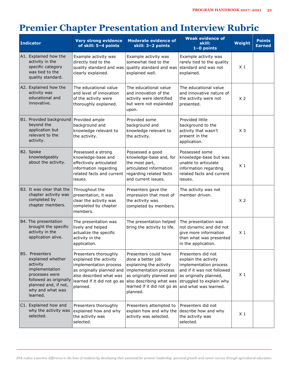## **Premier Chapter Presentation and Interview Rubric**

| <b>Indicator</b>                                                                                                                                                      | <b>Very strong evidence</b><br>of skill: 5-4 points                                                                                                                          | <b>Moderate evidence of</b><br>skill: 3-2 points                                                                                                                                                    | <b>Weak evidence of</b><br>skill:<br>$1-0$ points                                                                                                                                 | <b>Weight</b>  | <b>Points</b><br><b>Earned</b> |
|-----------------------------------------------------------------------------------------------------------------------------------------------------------------------|------------------------------------------------------------------------------------------------------------------------------------------------------------------------------|-----------------------------------------------------------------------------------------------------------------------------------------------------------------------------------------------------|-----------------------------------------------------------------------------------------------------------------------------------------------------------------------------------|----------------|--------------------------------|
| A1. Explained how the<br>activity in the<br>specific category<br>was tied to the<br>quality standard.                                                                 | Example activity was<br>directly tied to the<br>quality standard and was<br>clearly explained.                                                                               | Example activity was<br>somewhat tied to the<br>quality standard and was<br>explained well.                                                                                                         | Example activity was<br>rarely tied to the quality<br>standard and was not<br>explained.                                                                                          | X <sub>1</sub> |                                |
| A2. Explained how the<br>activity was<br>educational and<br>innovative.                                                                                               | The educational value<br>and level of innovation<br>of the activity were<br>thoroughly explained.                                                                            | The educational value<br>and innovation of the<br>activity were identified<br>but were not expanded<br>upon.                                                                                        | The educational value<br>and innovative nature of<br>the activity were not<br>presented.                                                                                          | X <sub>2</sub> |                                |
| B1. Provided background Provided ample<br>beyond the<br>application but<br>relevant to the<br>activity.                                                               | background and<br>knowledge relevant to<br>the activity.                                                                                                                     | Provided some<br>background and<br>knowledge relevant to<br>the activity.                                                                                                                           | Provided little<br>background to the<br>activity that wasn't<br>present in the<br>application.                                                                                    | $X_3$          |                                |
| B2. Spoke<br>knowledgeably<br>about the activity.                                                                                                                     | Possessed a strong<br>knowledge-base and<br>effectively articulated<br>information regarding<br>related facts and current<br>issues.                                         | Possessed a good<br>knowledge-base and, for<br>the most part,<br>articulated information<br>regarding related facts<br>and current issues.                                                          | Possessed some<br>knowledge-base but was<br>unable to articulate<br>information regarding<br>related facts and current<br>issues.                                                 | X <sub>1</sub> |                                |
| B3. It was clear that the<br>chapter activity was<br>completed by<br>chapter members.                                                                                 | Throughout the<br>presentation, it was<br>clear the activity was<br>completed by chapter<br>members.                                                                         | Presenters gave the<br>impression that most of<br>the activity was<br>completed by members.                                                                                                         | The activity was not<br>member driven.                                                                                                                                            | X <sub>2</sub> |                                |
| B4. The presentation<br>brought the specific<br>activity in the<br>application alive.                                                                                 | The presentation was<br>lively and helped<br>actualize the specific<br>activity in the<br>application.                                                                       | The presentation helped<br>bring the activity to life.                                                                                                                                              | The presentation was<br>not dynamic and did not<br>give more information<br>than what was presented<br>in the application.                                                        | X <sub>1</sub> |                                |
| B5. Presenters<br>explained whether<br>activity<br>implementation<br>processes were<br>followed as originally<br>planned and, if not,<br>why and what was<br>learned. | Presenters thoroughly<br>explained the activity<br>implementation process<br>as originally planned and<br>also described what was<br>learned if it did not go as<br>planned. | Presenters could have<br>done a better job<br>explaining the activity<br>implementation process<br>as originally planned and<br>also describing what was<br>learned if it did not go as<br>planned. | Presenters did not<br>explain the activity<br>implementation process<br>and if it was not followed<br>as originally planned,<br>struggled to explain why<br>and what was learned. | $X_1$          |                                |
| C1. Explained how and<br>why the activity was<br>selected.                                                                                                            | Presenters thoroughly<br>explained how and why<br>the activity was<br>selected.                                                                                              | Presenters attempted to<br>explain how and why the<br>activity was selected.                                                                                                                        | Presenters did not<br>describe how and why<br>the activity was<br>selected.                                                                                                       | $X_1$          |                                |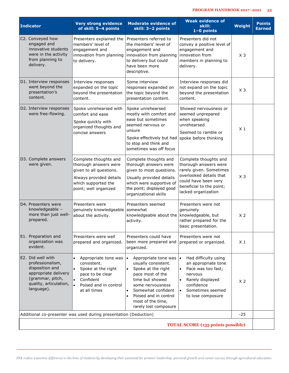| <b>Indicator</b>                                                                                                                             | <b>Very strong evidence</b><br>of skill: 5-4 points                                                                                                    | <b>Moderate evidence of</b><br>skill: 3-2 points                                                                                                                                                                                       | <b>Weak evidence of</b><br>skill:<br>$1-0$ points                                                                                                                               | Weight         | <b>Points</b><br><b>Earned</b> |  |
|----------------------------------------------------------------------------------------------------------------------------------------------|--------------------------------------------------------------------------------------------------------------------------------------------------------|----------------------------------------------------------------------------------------------------------------------------------------------------------------------------------------------------------------------------------------|---------------------------------------------------------------------------------------------------------------------------------------------------------------------------------|----------------|--------------------------------|--|
| C2. Conveyed how<br>engaged and<br>innovative students<br>were in the activity<br>from planning to<br>delivery.                              | Presenters explained the<br>members' level of<br>engagement and<br>innovation from planning<br>to delivery.                                            | Presenters referred to<br>the members' level of<br>engagement and<br>innovation from planning<br>to delivery but could<br>have been more<br>descriptive.                                                                               | Presenters did not<br>convey a positive level of<br>engagement and<br>innovation from<br>members in planning to<br>delivery.                                                    | $X_3$          |                                |  |
| D1. Interview responses<br>went beyond the<br>presentation's<br>content.                                                                     | Interview responses<br>expanded on the topic<br>beyond the presentation<br>content.                                                                    | Some interview<br>responses expanded on<br>the topic beyond the<br>presentation content.                                                                                                                                               | Interview responses did<br>not expand on the topic<br>beyond the presentation<br>content.                                                                                       | $X_3$          |                                |  |
| D2. Interview responses<br>were free-flowing.                                                                                                | Spoke unrehearsed with<br>comfort and ease<br>Spoke quickly with<br>organized thoughts and<br>concise answers                                          | Spoke unrehearsed<br>mostly with comfort and<br>ease but sometimes<br>seemed nervous or<br>unsure<br>Spoke effectively but had<br>to stop and think and<br>sometimes was off focus                                                     | Showed nervousness or<br>seemed unprepared<br>when speaking<br>unrehearsed<br>Seemed to ramble or<br>spoke before thinking                                                      | $X_1$          |                                |  |
| D3. Complete answers<br>were given.                                                                                                          | Complete thoughts and<br>thorough answers were<br>given to all questions.<br>Always provided details<br>which supported the<br>point; well organized   | Complete thoughts and<br>thorough answers were<br>given to most questions.<br>Usually provided details<br>which were supportive of<br>the point; displayed good<br>organizational skills                                               | Complete thoughts and<br>thorough answers were<br>rarely given. Sometimes<br>overlooked details that<br>could have been very<br>beneficial to the point;<br>lacked organization | $X_3$          |                                |  |
| D4. Presenters were<br>knowledgeable -<br>more than just well-<br>prepared.                                                                  | Presenters were<br>genuinely knowledgeable<br>about the activity.                                                                                      | Presenters seemed<br>somewhat<br>knowledgeable about the knowledgeable, but<br>activity.                                                                                                                                               | Presenters were not<br>genuinely<br>rather prepared for the<br>basic presentation.                                                                                              | X <sub>2</sub> |                                |  |
| E1. Preparation and<br>organization was<br>evident.                                                                                          | Presenters were well<br>prepared and organized.                                                                                                        | Presenters could have<br>been more prepared and<br>organized.                                                                                                                                                                          | Presenters were not<br>prepared or organized.                                                                                                                                   | X <sub>1</sub> |                                |  |
| E2. Did well with<br>professionalism,<br>disposition and<br>appropriate delivery<br>(grammar, pitch,<br>quality, articulation,<br>language). | Appropriate tone was<br>consistent.<br>Spoke at the right<br>$\bullet$<br>pace to be clear<br>Confident<br>۱.<br>Poised and in control<br>at all times | Appropriate tone was<br>usually consistent.<br>Spoke at the right<br>pace most of the<br>time but showed<br>some nervousness<br>Somewhat confident<br>Poised and in control<br>$\bullet$<br>most of the time,<br>rarely lost composure | Had difficulty using<br>an appropriate tone<br>Pace was too fast;<br>nervous<br>Rarely displayed<br>confidence<br>Sometimes seemed<br>to lose composure                         | X <sub>2</sub> |                                |  |
|                                                                                                                                              | Additional co-presenter was used during presentation (Deduction)                                                                                       |                                                                                                                                                                                                                                        |                                                                                                                                                                                 | $-25$          |                                |  |
| <b>TOTAL SCORE (135 points possible)</b>                                                                                                     |                                                                                                                                                        |                                                                                                                                                                                                                                        |                                                                                                                                                                                 |                |                                |  |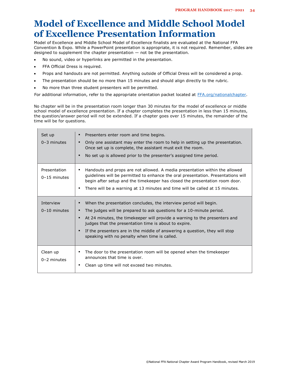## **Model of Excellence and Middle School Model of Excellence Presentation Information**

Model of Excellence and Middle School Model of Excellence finalists are evaluated at the National FFA Convention & Expo. While a PowerPoint presentation is appropriate, it is not required. Remember, slides are designed to supplement the chapter presentation — not be the presentation.

- No sound, video or hyperlinks are permitted in the presentation.
- FFA Official Dress is required.
- Props and handouts are not permitted. Anything outside of Official Dress will be considered a prop.
- The presentation should be no more than 15 minutes and should align directly to the rubric.
- No more than three student presenters will be permitted.

For additional information, refer to the appropriate orientation packet located at [FFA.org/nationalchapter.](https://www.ffa.org/participate/awards/national-chapter/)

No chapter will be in the presentation room longer than 30 minutes for the model of excellence or middle school model of excellence presentation. If a chapter completes the presentation in less than 15 minutes, the question/answer period will not be extended. If a chapter goes over 15 minutes, the remainder of the time will be for questions.

| Set up<br>$0-3$ minutes        | Presenters enter room and time begins.<br>Only one assistant may enter the room to help in setting up the presentation.<br>Once set up is complete, the assistant must exit the room.<br>No set up is allowed prior to the presenter's assigned time period.<br>п                                                                                                                                                |
|--------------------------------|------------------------------------------------------------------------------------------------------------------------------------------------------------------------------------------------------------------------------------------------------------------------------------------------------------------------------------------------------------------------------------------------------------------|
| Presentation<br>$0-15$ minutes | Handouts and props are not allowed. A media presentation within the allowed<br>guidelines will be permitted to enhance the oral presentation. Presentations will<br>begin after setup and the timekeeper has closed the presentation room door.<br>There will be a warning at 13 minutes and time will be called at 15 minutes.<br>$\blacksquare$                                                                |
| Interview<br>$0-10$ minutes    | When the presentation concludes, the interview period will begin.<br>The judges will be prepared to ask questions for a 10-minute period.<br>At 24 minutes, the time eeper will provide a warning to the presenters and<br>judges that the presentation time is about to expire.<br>If the presenters are in the middle of answering a question, they will stop<br>speaking with no penalty when time is called. |
| Clean up<br>$0-2$ minutes      | The door to the presentation room will be opened when the timekeeper<br>announces that time is over.<br>Clean up time will not exceed two minutes.                                                                                                                                                                                                                                                               |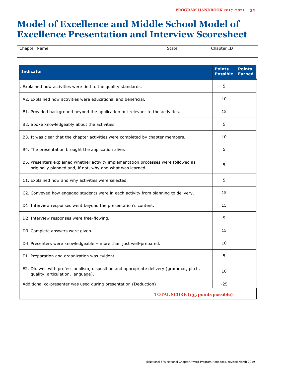## **Model of Excellence and Middle School Model of Excellence Presentation and Interview Scoresheet**

| Chapter Name                                                                                                                                     | <b>State</b> | Chapter ID                       |                                |
|--------------------------------------------------------------------------------------------------------------------------------------------------|--------------|----------------------------------|--------------------------------|
| <b>Indicator</b>                                                                                                                                 |              | <b>Points</b><br><b>Possible</b> | <b>Points</b><br><b>Earned</b> |
| Explained how activities were tied to the quality standards.                                                                                     |              | 5                                |                                |
| A2. Explained how activities were educational and beneficial.                                                                                    |              | 10                               |                                |
| B1. Provided background beyond the application but relevant to the activities.                                                                   |              | 15                               |                                |
| B2. Spoke knowledgeably about the activities.                                                                                                    |              | 5                                |                                |
| B3. It was clear that the chapter activities were completed by chapter members.                                                                  |              | 10                               |                                |
| B4. The presentation brought the application alive.                                                                                              |              | 5                                |                                |
| B5. Presenters explained whether activity implementation processes were followed as<br>originally planned and, if not, why and what was learned. |              | 5                                |                                |
| C1. Explained how and why activities were selected.                                                                                              |              | 5                                |                                |
| C2. Conveyed how engaged students were in each activity from planning to delivery.                                                               |              | 15                               |                                |
| D1. Interview responses went beyond the presentation's content.                                                                                  |              | 15                               |                                |
| D2. Interview responses were free-flowing.                                                                                                       |              | 5                                |                                |
| D3. Complete answers were given.                                                                                                                 |              | 15                               |                                |
| D4. Presenters were knowledgeable - more than just well-prepared.                                                                                |              | 10                               |                                |
| E1. Preparation and organization was evident.                                                                                                    |              | 5                                |                                |
| E2. Did well with professionalism, disposition and appropriate delivery (grammar, pitch,<br>quality, articulation, language).                    |              | 10                               |                                |
| Additional co-presenter was used during presentation (Deduction)                                                                                 |              | $-25$                            |                                |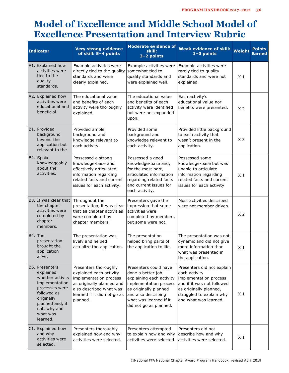## **Model of Excellence and Middle School Model of Excellence Presentation and Interview Rubric**

|         | <b>Indicator</b>                                                                                                                                                                   | <b>Very strong evidence</b><br>of skill: 5-4 points                                                                                                                           | <b>Moderate evidence of</b><br>skill:<br>$3-2$ points                                                                                                                                                | <b>Weak evidence of skill:</b><br>$1-0$ points                                                                                                                                     | Weight         | <b>Points</b><br>Earned |
|---------|------------------------------------------------------------------------------------------------------------------------------------------------------------------------------------|-------------------------------------------------------------------------------------------------------------------------------------------------------------------------------|------------------------------------------------------------------------------------------------------------------------------------------------------------------------------------------------------|------------------------------------------------------------------------------------------------------------------------------------------------------------------------------------|----------------|-------------------------|
|         | A1. Explained how<br>activities were<br>tied to the<br>quality<br>standards.                                                                                                       | Example activities were<br>directly tied to the quality<br>standards and were<br>clearly explained.                                                                           | Example activities were<br>somewhat tied to<br>quality standards and<br>were explained well.                                                                                                         | Example activities were<br>rarely tied to quality<br>standards and were not<br>explained.                                                                                          | X <sub>1</sub> |                         |
|         | A2. Explained how<br>activities were<br>educational and<br>beneficial.                                                                                                             | The educational value<br>and benefits of each<br>activity were thoroughly<br>explained.                                                                                       | The educational value<br>and benefits of each<br>activity were identified<br>but were not expanded<br>upon.                                                                                          | Each activity's<br>educational value nor<br>benefits were presented.                                                                                                               | X <sub>2</sub> |                         |
|         | B1. Provided<br>background<br>beyond the<br>application but<br>relevant to the                                                                                                     | Provided ample<br>background and<br>knowledge relevant to<br>each activity.                                                                                                   | Provided some<br>background and<br>knowledge relevant to<br>each activity.                                                                                                                           | Provided little background<br>to each activity that<br>wasn't present in the<br>application.                                                                                       | $X_3$          |                         |
|         | B2. Spoke<br>knowledgeably<br>about the<br>activities.                                                                                                                             | Possessed a strong<br>knowledge-base and<br>effectively articulated<br>information regarding<br>related facts and current<br>issues for each activity.                        | Possessed a good<br>knowledge-base and,<br>for the most part,<br>articulated information<br>regarding related facts<br>and current issues for<br>each activity.                                      | Possessed some<br>knowledge-base but was<br>unable to articulate<br>information regarding<br>related facts and current<br>issues for each activity.                                | X <sub>1</sub> |                         |
|         | B3. It was clear that<br>the chapter<br>activities were<br>completed by<br>chapter<br>members.                                                                                     | Throughout the<br>presentation, it was clear<br>that all chapter activities<br>were completed by<br>chapter members.                                                          | Presenters gave the<br>impression that some<br>activities were<br>completed by members<br>but some were not.                                                                                         | Most activities described<br>were not member driven.                                                                                                                               | X <sub>2</sub> |                         |
| B4. The | presentation<br>brought the<br>application<br>alive.                                                                                                                               | The presentation was<br>lively and helped<br>actualize the application.                                                                                                       | The presentation<br>helped bring parts of<br>the application to life.                                                                                                                                | The presentation was not<br>dynamic and did not give<br>more information than<br>what was presented in<br>the application.                                                         | X <sub>1</sub> |                         |
|         | <b>B5. Presenters</b><br>explained<br>whether activity<br>implementation<br>processes were<br>followed as<br>originally<br>planned and, if<br>not, why and<br>what was<br>learned. | Presenters thoroughly<br>explained each activity<br>implementation process<br>as originally planned and<br>also described what was<br>learned if it did not go as<br>planned. | Presenters could have<br>done a better job<br>explaining each activity<br>implementation process<br>as originally planned<br>and also describing<br>what was learned if it<br>did not go as planned. | Presenters did not explain<br>each activity<br>implementation process<br>and if it was not followed<br>as originally planned,<br>struggled to explain why<br>and what was learned. | $X_1$          |                         |
|         | C1. Explained how<br>and why<br>activities were<br>selected.                                                                                                                       | Presenters thoroughly<br>explained how and why<br>activities were selected.                                                                                                   | Presenters attempted<br>to explain how and why<br>activities were selected.                                                                                                                          | Presenters did not<br>describe how and why<br>activities were selected.                                                                                                            | $X_1$          |                         |